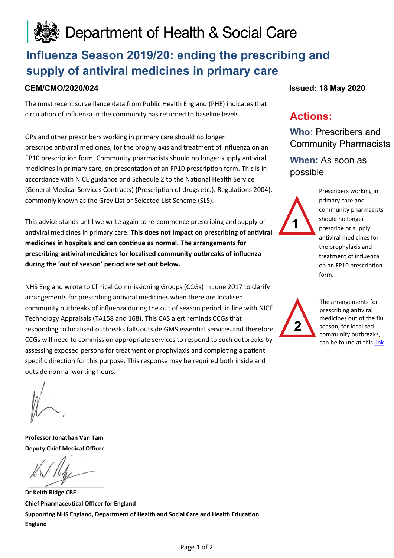# Department of Health & Social Care

# **Influenza Season 2019/20: ending the prescribing and supply of antiviral medicines in primary care**

The most recent surveillance data from Public Health England (PHE) indicates that circulation of influenza in the community has returned to baseline levels.

GPs and other prescribers working in primary care should no longer prescribe antiviral medicines, for the prophylaxis and treatment of influenza on an FP10 prescription form. Community pharmacists should no longer supply antiviral medicines in primary care, on presentation of an FP10 prescription form. This is in accordance with NICE guidance and Schedule 2 to the National Health Service (General Medical Services Contracts) (Prescription of drugs etc.). Regulations 2004), commonly known as the Grey List or Selected List Scheme (SLS).

This advice stands until we write again to re-commence prescribing and supply of antiviral medicines in primary care. **This does not impact on prescribing of antiviral medicines in hospitals and can continue as normal. The arrangements for prescribing antiviral medicines for localised community outbreaks of influenza during the 'out of season' period are set out below.** 

NHS England wrote to Clinical Commissioning Groups (CCGs) in June 2017 to clarify arrangements for prescribing antiviral medicines when there are localised community outbreaks of influenza during the out of season period, in line with NICE Technology Appraisals (TA158 and 168). This CAS alert reminds CCGs that responding to localised outbreaks falls outside GMS essential services and therefore CCGs will need to commission appropriate services to respond to such outbreaks by assessing exposed persons for treatment or prophylaxis and completing a patient specific direction for this purpose. This response may be required both inside and outside normal working hours.

**CEM/CMO/2020/024 Issued: 18 May 2020**

## **Actions:**

**Who:** Prescribers and Community Pharmacists

**When:** As soon as possible



Prescribers working in primary care and community pharmacists should no longer prescribe or supply antiviral medicines for the prophylaxis and treatment of influenza on an FP10 prescription form.



The arrangements for prescribing antiviral medicines out of the flu season, for localised community outbreaks, can be found at this [link](https://www.england.nhs.uk/publication/localised-community-outbreaks-of-influenza-in-the-out-of-season-period/)

**Professor Jonathan Van Tam Deputy Chief Medical Officer** 

**Dr Keith Ridge CBE Chief Pharmaceutical Officer for England Supporting NHS England, Department of Health and Social Care and Health Education England**